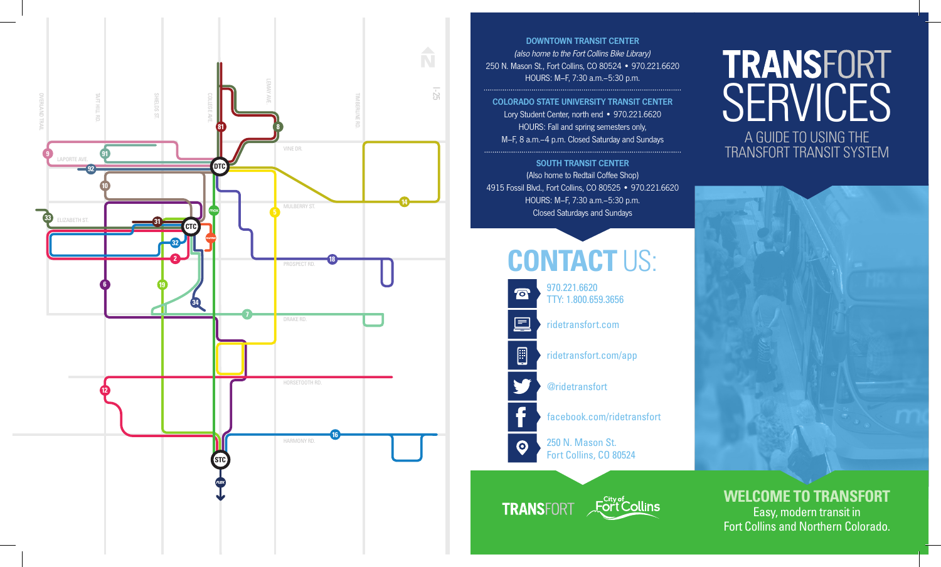

DOWNTOWN TRANSIT CENTER (also home to the Fort Collins Bike Library) 250 N. Mason St., Fort Collins, CO 80524 • 970.221.6620 HOURS: M–F, 7:30 a.m.–5:30 p.m.

COLORADO STATE UNIVERSITY TRANSIT CENTER Lory Student Center, north end • 970.221.6620 HOURS: Fall and spring semesters only, M–F, 8 a.m.–4 p.m. Closed Saturday and Sundays

SOUTH TRANSIT CENTER (Also home to Redtail Coffee Shop) 4915 Fossil Blvd., Fort Collins, CO 80525 • 970.221.6620 HOURS: M–F, 7:30 a.m.–5:30 p.m. Closed Saturdays and Sundays

## **CONTACT** US:



@ridetransfort

facebook.com/ridetransfort

250 N. Mason St. Fort Collins, CO 80524

**Fort Collins TRANSFORT** 

# **TRANSFORT SERVICES**

A GUIDE TO USING THE TRANSFORT TRANSIT SYSTEM



**WELCOME TO TRANSFORT** Easy, modern transit in Fort Collins and Northern Colorado.